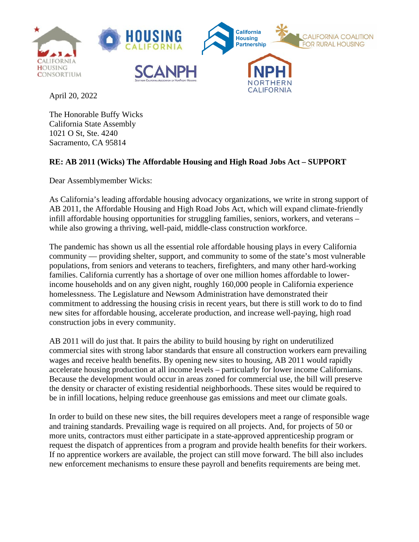

April 20, 2022

The Honorable Buffy Wicks California State Assembly 1021 O St, Ste. 4240 Sacramento, CA 95814

## **RE: AB 2011 (Wicks) The Affordable Housing and High Road Jobs Act – SUPPORT**

Dear Assemblymember Wicks:

As California's leading affordable housing advocacy organizations, we write in strong support of AB 2011, the Affordable Housing and High Road Jobs Act, which will expand climate-friendly infill affordable housing opportunities for struggling families, seniors, workers, and veterans – while also growing a thriving, well-paid, middle-class construction workforce.

The pandemic has shown us all the essential role affordable housing plays in every California community — providing shelter, support, and community to some of the state's most vulnerable populations, from seniors and veterans to teachers, firefighters, and many other hard-working families. California currently has a shortage of over one million homes affordable to lowerincome households and on any given night, roughly 160,000 people in California experience homelessness. The Legislature and Newsom Administration have demonstrated their commitment to addressing the housing crisis in recent years, but there is still work to do to find new sites for affordable housing, accelerate production, and increase well-paying, high road construction jobs in every community.

AB 2011 will do just that. It pairs the ability to build housing by right on underutilized commercial sites with strong labor standards that ensure all construction workers earn prevailing wages and receive health benefits. By opening new sites to housing, AB 2011 would rapidly accelerate housing production at all income levels – particularly for lower income Californians. Because the development would occur in areas zoned for commercial use, the bill will preserve the density or character of existing residential neighborhoods. These sites would be required to be in infill locations, helping reduce greenhouse gas emissions and meet our climate goals.

In order to build on these new sites, the bill requires developers meet a range of responsible wage and training standards. Prevailing wage is required on all projects. And, for projects of 50 or more units, contractors must either participate in a state-approved apprenticeship program or request the dispatch of apprentices from a program and provide health benefits for their workers. If no apprentice workers are available, the project can still move forward. The bill also includes new enforcement mechanisms to ensure these payroll and benefits requirements are being met.